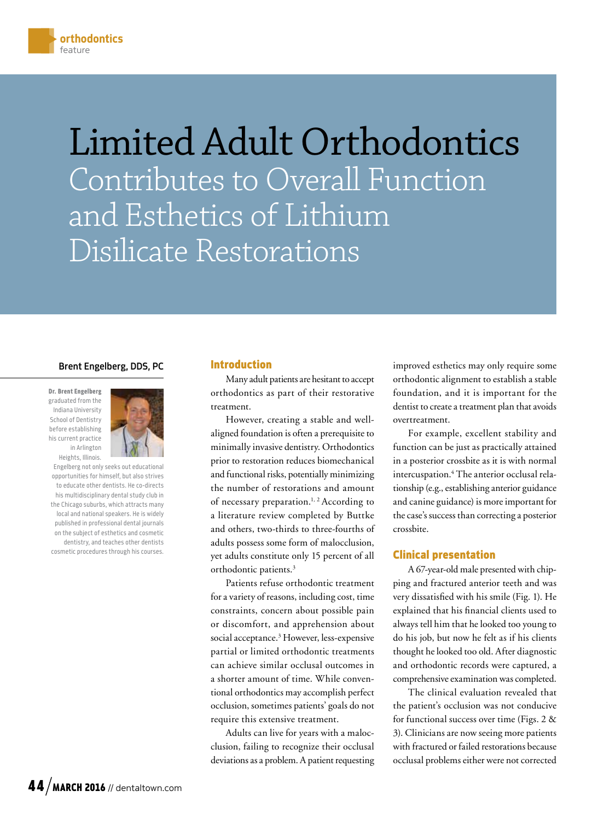Limited Adult Orthodontics Contributes to Overall Function and Esthetics of Lithium Disilicate Restorations

## Brent Engelberg, DDS, PC

Dr. Brent Engelberg graduated from the Indiana University School of Dentistry before establishing his current practice in Arlington Heights, Illinois.



Engelberg not only seeks out educational opportunities for himself, but also strives to educate other dentists. He co-directs his multidisciplinary dental study club in the Chicago suburbs, which attracts many local and national speakers. He is widely published in professional dental journals on the subject of esthetics and cosmetic dentistry, and teaches other dentists cosmetic procedures through his courses.

#### Introduction

Many adult patients are hesitant to accept orthodontics as part of their restorative treatment.

However, creating a stable and wellaligned foundation is often a prerequisite to minimally invasive dentistry. Orthodontics prior to restoration reduces biomechanical and functional risks, potentially minimizing the number of restorations and amount of necessary preparation.<sup>1, 2</sup> According to a literature review completed by Buttke and others, two-thirds to three-fourths of adults possess some form of malocclusion, yet adults constitute only 15 percent of all orthodontic patients.<sup>3</sup>

Patients refuse orthodontic treatment for a variety of reasons, including cost, time constraints, concern about possible pain or discomfort, and apprehension about social acceptance.3 However, less-expensive partial or limited orthodontic treatments can achieve similar occlusal outcomes in a shorter amount of time. While conventional orthodontics may accomplish perfect occlusion, sometimes patients' goals do not require this extensive treatment.

Adults can live for years with a malocclusion, failing to recognize their occlusal deviations as a problem. A patient requesting improved esthetics may only require some orthodontic alignment to establish a stable foundation, and it is important for the dentist to create a treatment plan that avoids overtreatment.

For example, excellent stability and function can be just as practically attained in a posterior crossbite as it is with normal intercuspation.4 The anterior occlusal relationship (e.g., establishing anterior guidance and canine guidance) is more important for the case's success than correcting a posterior crossbite.

# Clinical presentation

A 67-year-old male presented with chipping and fractured anterior teeth and was very dissatisfied with his smile (Fig. 1). He explained that his financial clients used to always tell him that he looked too young to do his job, but now he felt as if his clients thought he looked too old. After diagnostic and orthodontic records were captured, a comprehensive examination was completed.

The clinical evaluation revealed that the patient's occlusion was not conducive for functional success over time (Figs. 2 & 3). Clinicians are now seeing more patients with fractured or failed restorations because occlusal problems either were not corrected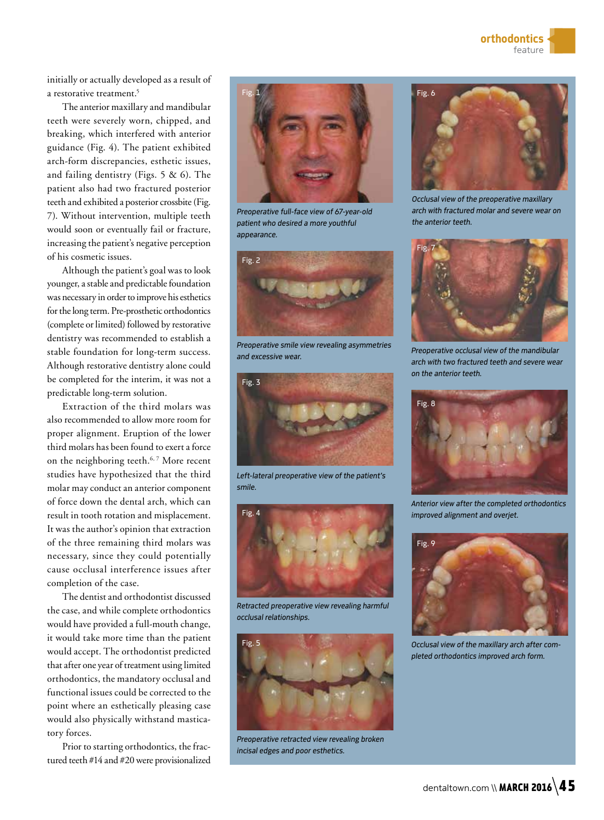initially or actually developed as a result of a restorative treatment.<sup>5</sup>

The anterior maxillary and mandibular teeth were severely worn, chipped, and breaking, which interfered with anterior guidance (Fig. 4). The patient exhibited arch-form discrepancies, esthetic issues, and failing dentistry (Figs. 5 & 6). The patient also had two fractured posterior teeth and exhibited a posterior crossbite (Fig. 7). Without intervention, multiple teeth would soon or eventually fail or fracture, increasing the patient's negative perception of his cosmetic issues.

Although the patient's goal was to look younger, a stable and predictable foundation was necessary in order to improve his esthetics for the long term. Pre-prosthetic orthodontics (complete or limited) followed by restorative dentistry was recommended to establish a stable foundation for long-term success. Although restorative dentistry alone could be completed for the interim, it was not a predictable long-term solution.

Extraction of the third molars was also recommended to allow more room for proper alignment. Eruption of the lower third molars has been found to exert a force on the neighboring teeth.<sup>6,7</sup> More recent studies have hypothesized that the third molar may conduct an anterior component of force down the dental arch, which can result in tooth rotation and misplacement. It was the author's opinion that extraction of the three remaining third molars was necessary, since they could potentially cause occlusal interference issues after completion of the case.

The dentist and orthodontist discussed the case, and while complete orthodontics would have provided a full-mouth change, it would take more time than the patient would accept. The orthodontist predicted that after one year of treatment using limited orthodontics, the mandatory occlusal and functional issues could be corrected to the point where an esthetically pleasing case would also physically withstand masticatory forces.

Prior to starting orthodontics, the fractured teeth #14 and #20 were provisionalized



*Preoperative full-face view of 67-year-old patient who desired a more youthful appearance.* 



*Preoperative smile view revealing asymmetries and excessive wear.*



*Left-lateral preoperative view of the patient's smile.*



*Retracted preoperative view revealing harmful occlusal relationships.*



*Preoperative retracted view revealing broken incisal edges and poor esthetics.*



*Occlusal view of the preoperative maxillary arch with fractured molar and severe wear on the anterior teeth.*



*Preoperative occlusal view of the mandibular arch with two fractured teeth and severe wear on the anterior teeth.* 



*Anterior view after the completed orthodontics improved alignment and overjet.* 



*Occlusal view of the maxillary arch after completed orthodontics improved arch form.*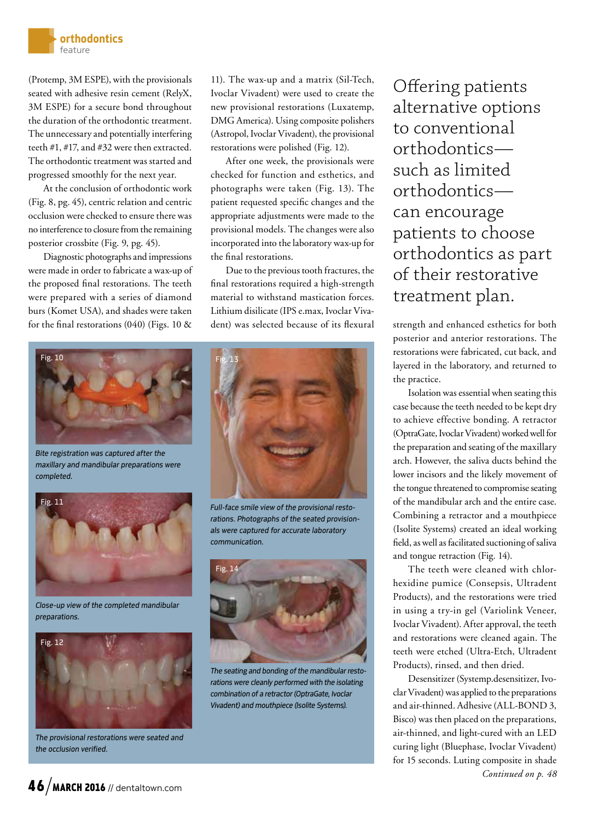

(Protemp, 3M ESPE), with the provisionals seated with adhesive resin cement (RelyX, 3M ESPE) for a secure bond throughout the duration of the orthodontic treatment. The unnecessary and potentially interfering teeth #1, #17, and #32 were then extracted. The orthodontic treatment was started and progressed smoothly for the next year.

At the conclusion of orthodontic work (Fig. 8, pg. 45), centric relation and centric occlusion were checked to ensure there was no interference to closure from the remaining posterior crossbite (Fig. 9, pg. 45).

Diagnostic photographs and impressions were made in order to fabricate a wax-up of the proposed final restorations. The teeth were prepared with a series of diamond burs (Komet USA), and shades were taken for the final restorations (040) (Figs. 10 &



*Bite registration was captured after the maxillary and mandibular preparations were completed.*



*Close-up view of the completed mandibular preparations.*



*The provisional restorations were seated and the occlusion verified.*

11). The wax-up and a matrix (Sil-Tech, Ivoclar Vivadent) were used to create the new provisional restorations (Luxatemp, DMG America). Using composite polishers (Astropol, Ivoclar Vivadent), the provisional restorations were polished (Fig. 12).

After one week, the provisionals were checked for function and esthetics, and photographs were taken (Fig. 13). The patient requested specific changes and the appropriate adjustments were made to the provisional models. The changes were also incorporated into the laboratory wax-up for the final restorations.

Due to the previous tooth fractures, the final restorations required a high-strength material to withstand mastication forces. Lithium disilicate (IPS e.max, Ivoclar Vivadent) was selected because of its flexural strength and enhanced esthetics for both



*Full-face smile view of the provisional restorations. Photographs of the seated provisionals were captured for accurate laboratory communication.*



*The seating and bonding of the mandibular restorations were cleanly performed with the isolating combination of a retractor (OptraGate, Ivoclar Vivadent) and mouthpiece (Isolite Systems).*

Offering patients alternative options to conventional orthodontics such as limited orthodontics can encourage patients to choose orthodontics as part of their restorative treatment plan.

posterior and anterior restorations. The restorations were fabricated, cut back, and layered in the laboratory, and returned to the practice.

Isolation was essential when seating this case because the teeth needed to be kept dry to achieve effective bonding. A retractor (OptraGate, Ivoclar Vivadent) worked well for the preparation and seating of the maxillary arch. However, the saliva ducts behind the lower incisors and the likely movement of the tongue threatened to compromise seating of the mandibular arch and the entire case. Combining a retractor and a mouthpiece (Isolite Systems) created an ideal working field, as well as facilitated suctioning of saliva and tongue retraction (Fig. 14).

The teeth were cleaned with chlorhexidine pumice (Consepsis, Ultradent Products), and the restorations were tried in using a try-in gel (Variolink Veneer, Ivoclar Vivadent). After approval, the teeth and restorations were cleaned again. The teeth were etched (Ultra-Etch, Ultradent Products), rinsed, and then dried.

Desensitizer (Systemp.desensitizer, Ivoclar Vivadent) was applied to the preparations and air-thinned. Adhesive (ALL-BOND 3, Bisco) was then placed on the preparations, air-thinned, and light-cured with an LED curing light (Bluephase, Ivoclar Vivadent) for 15 seconds. Luting composite in shade *Continued on p. 48*